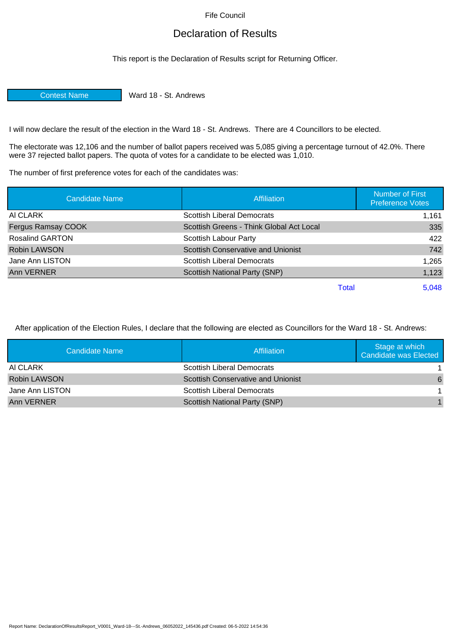Fife Council

## Declaration of Results

This report is the Declaration of Results script for Returning Officer.

Contest Name Ward 18 - St. Andrews

I will now declare the result of the election in the Ward 18 - St. Andrews. There are 4 Councillors to be elected.

The electorate was 12,106 and the number of ballot papers received was 5,085 giving a percentage turnout of 42.0%. There were 37 rejected ballot papers. The quota of votes for a candidate to be elected was 1,010.

The number of first preference votes for each of the candidates was:

| <b>Candidate Name</b>  | <b>Affiliation</b>                       | Number of First<br><b>Preference Votes</b> |
|------------------------|------------------------------------------|--------------------------------------------|
| AI CLARK               | <b>Scottish Liberal Democrats</b>        | 1,161                                      |
| Fergus Ramsay COOK     | Scottish Greens - Think Global Act Local | 335                                        |
| <b>Rosalind GARTON</b> | Scottish Labour Party                    | 422                                        |
| <b>Robin LAWSON</b>    | Scottish Conservative and Unionist       | 742                                        |
| Jane Ann LISTON        | <b>Scottish Liberal Democrats</b>        | 1,265                                      |
| Ann VERNER             | Scottish National Party (SNP)            | 1,123                                      |
|                        |                                          | 5,048<br>Total                             |

After application of the Election Rules, I declare that the following are elected as Councillors for the Ward 18 - St. Andrews:

| Candidate Name  | Affiliation                               | Stage at which<br><b>Candidate was Elected</b> |
|-----------------|-------------------------------------------|------------------------------------------------|
| AI CLARK        | Scottish Liberal Democrats                |                                                |
| Robin LAWSON    | <b>Scottish Conservative and Unionist</b> | 6                                              |
| Jane Ann LISTON | Scottish Liberal Democrats                |                                                |
| Ann VERNER      | Scottish National Party (SNP)             |                                                |